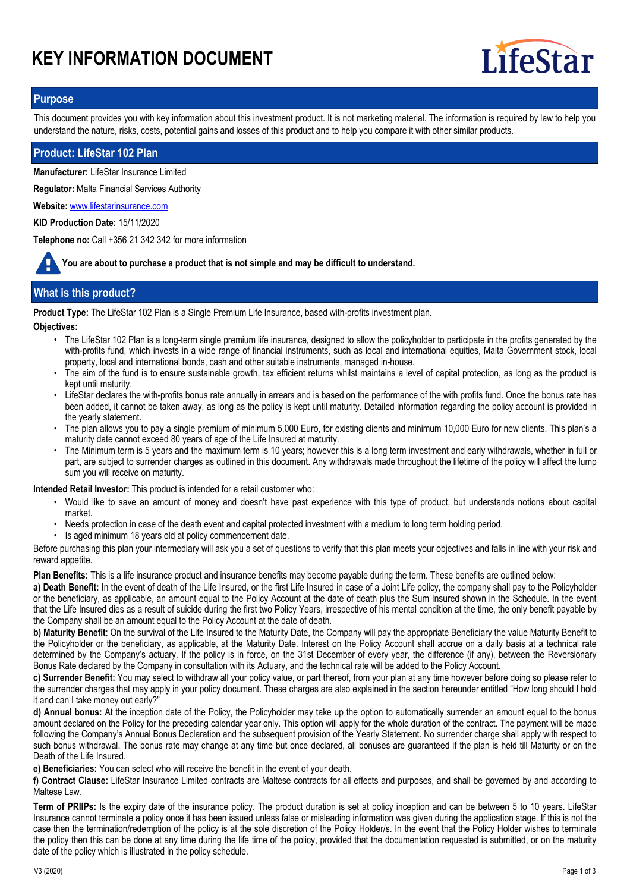# **KEY INFORMATION DOCUMENT**



### **Purpose**

This document provides you with key information about this investment product. It is not marketing material. The information is required by law to help you understand the nature, risks, costs, potential gains and losses of this product and to help you compare it with other similar products.

### **Product: LifeStar 102 Plan**

**Manufacturer:** LifeStar Insurance Limited

**Regulator:** Malta Financial Services Authority

**Website:** www.lifestarinsurance.com

**KID Production Date:** 15/11/2020

**Telephone no:** Call +356 21 342 342 for more information

**You are about to purchase a product that is not simple and may be difficult to understand.**

# **What is this product?**

**Product Type:** The LifeStar 102 Plan is a Single Premium Life Insurance, based with-profits investment plan.

**Objectives:**

- The LifeStar 102 Plan is a long-term single premium life insurance, designed to allow the policyholder to participate in the profits generated by the with-profits fund, which invests in a wide range of financial instruments, such as local and international equities, Malta Government stock, local property, local and international bonds, cash and other suitable instruments, managed in-house.
- The aim of the fund is to ensure sustainable growth, tax efficient returns whilst maintains a level of capital protection, as long as the product is kept until maturity. •
- LifeStar declares the with-profits bonus rate annually in arrears and is based on the performance of the with profits fund. Once the bonus rate has been added, it cannot be taken away, as long as the policy is kept until maturity. Detailed information regarding the policy account is provided in the yearly statement.
- The plan allows you to pay a single premium of minimum 5,000 Euro, for existing clients and minimum 10,000 Euro for new clients. This plan's a maturity date cannot exceed 80 years of age of the Life Insured at maturity. •
- The Minimum term is 5 years and the maximum term is 10 years; however this is a long term investment and early withdrawals, whether in full or part, are subject to surrender charges as outlined in this document. Any withdrawals made throughout the lifetime of the policy will affect the lump sum you will receive on maturity. •

**Intended Retail Investor:** This product is intended for a retail customer who:

- Would like to save an amount of money and doesn't have past experience with this type of product, but understands notions about capital market.
- Needs protection in case of the death event and capital protected investment with a medium to long term holding period.
- Is aged minimum 18 years old at policy commencement date.

Before purchasing this plan your intermediary will ask you a set of questions to verify that this plan meets your objectives and falls in line with your risk and reward appetite.

**Plan Benefits:** This is a life insurance product and insurance benefits may become payable during the term. These benefits are outlined below:

**a) Death Benefit:** In the event of death of the Life Insured, or the first Life Insured in case of a Joint Life policy, the company shall pay to the Policyholder or the beneficiary, as applicable, an amount equal to the Policy Account at the date of death plus the Sum Insured shown in the Schedule. In the event that the Life Insured dies as a result of suicide during the first two Policy Years, irrespective of his mental condition at the time, the only benefit payable by the Company shall be an amount equal to the Policy Account at the date of death.

**b) Maturity Benefit**: On the survival of the Life Insured to the Maturity Date, the Company will pay the appropriate Beneficiary the value Maturity Benefit to the Policyholder or the beneficiary, as applicable, at the Maturity Date. Interest on the Policy Account shall accrue on a daily basis at a technical rate determined by the Company's actuary. If the policy is in force, on the 31st December of every year, the difference (if any), between the Reversionary Bonus Rate declared by the Company in consultation with its Actuary, and the technical rate will be added to the Policy Account.

**c) Surrender Benefit:** You may select to withdraw all your policy value, or part thereof, from your plan at any time however before doing so please refer to the surrender charges that may apply in your policy document. These charges are also explained in the section hereunder entitled "How long should I hold it and can I take money out early?"

**d) Annual bonus:** At the inception date of the Policy, the Policyholder may take up the option to automatically surrender an amount equal to the bonus amount declared on the Policy for the preceding calendar year only. This option will apply for the whole duration of the contract. The payment will be made following the Company's Annual Bonus Declaration and the subsequent provision of the Yearly Statement. No surrender charge shall apply with respect to such bonus withdrawal. The bonus rate may change at any time but once declared, all bonuses are guaranteed if the plan is held till Maturity or on the Death of the Life Insured.

**e) Beneficiaries:** You can select who will receive the benefit in the event of your death.

**f) Contract Clause:** LifeStar Insurance Limited contracts are Maltese contracts for all effects and purposes, and shall be governed by and according to Maltese Law.

**Term of PRIIPs:** Is the expiry date of the insurance policy. The product duration is set at policy inception and can be between 5 to 10 years. LifeStar Insurance cannot terminate a policy once it has been issued unless false or misleading information was given during the application stage. If this is not the case then the termination/redemption of the policy is at the sole discretion of the Policy Holder/s. In the event that the Policy Holder wishes to terminate the policy then this can be done at any time during the life time of the policy, provided that the documentation requested is submitted, or on the maturity date of the policy which is illustrated in the policy schedule.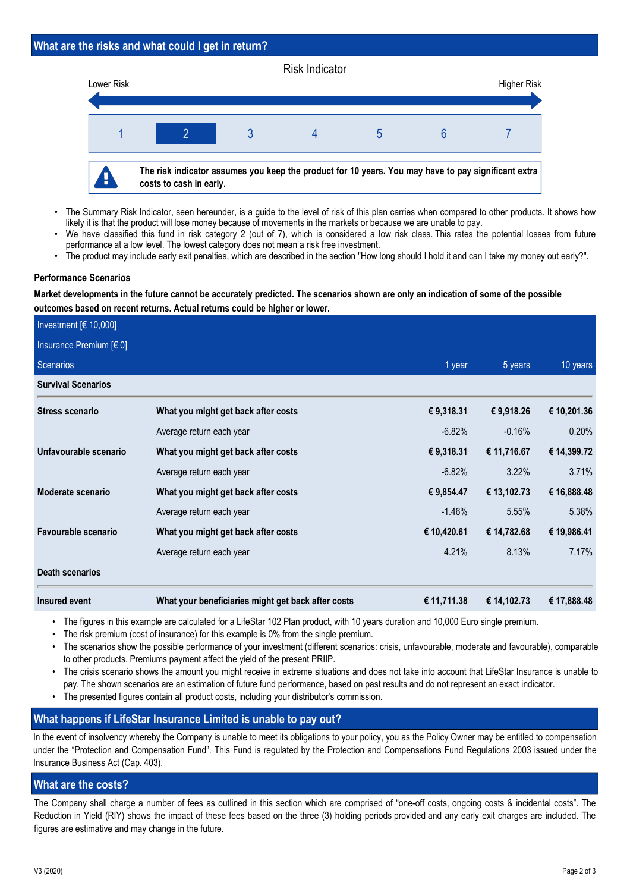### **What are the risks and what could I get in return?**



- The Summary Risk Indicator, seen hereunder, is a guide to the level of risk of this plan carries when compared to other products. It shows how likely it is that the product will lose money because of movements in the markets or because we are unable to pay. •
- We have classified this fund in risk category 2 (out of 7), which is considered a low risk class. This rates the potential losses from future performance at a low level. The lowest category does not mean a risk free investment. •
- The product may include early exit penalties, which are described in the section "How long should I hold it and can I take my money out early?".

### **Performance Scenarios**

**Market developments in the future cannot be accurately predicted. The scenarios shown are only an indication of some of the possible outcomes based on recent returns. Actual returns could be higher or lower.**

| Investment $[6 10,000]$   |                                                    |             |             |             |
|---------------------------|----------------------------------------------------|-------------|-------------|-------------|
| Insurance Premium $[60]$  |                                                    |             |             |             |
| Scenarios                 |                                                    | 1 year      | 5 years     | 10 years    |
| <b>Survival Scenarios</b> |                                                    |             |             |             |
| <b>Stress scenario</b>    | What you might get back after costs                | € 9,318.31  | € 9,918.26  | € 10,201.36 |
|                           | Average return each year                           | $-6.82%$    | $-0.16%$    | 0.20%       |
| Unfavourable scenario     | What you might get back after costs                | € 9,318.31  | € 11,716.67 | € 14,399.72 |
|                           | Average return each year                           | $-6.82%$    | 3.22%       | 3.71%       |
| Moderate scenario         | What you might get back after costs                | € 9,854.47  | € 13,102.73 | € 16,888.48 |
|                           | Average return each year                           | $-1.46%$    | 5.55%       | 5.38%       |
| Favourable scenario       | What you might get back after costs                | € 10,420.61 | € 14,782.68 | € 19,986.41 |
|                           | Average return each year                           | 4.21%       | 8.13%       | 7.17%       |
| <b>Death scenarios</b>    |                                                    |             |             |             |
| Insured event             | What your beneficiaries might get back after costs | € 11,711.38 | € 14,102.73 | € 17,888.48 |

• The figures in this example are calculated for a LifeStar 102 Plan product, with 10 years duration and 10,000 Euro single premium.

- The risk premium (cost of insurance) for this example is 0% from the single premium.
- The scenarios show the possible performance of your investment (different scenarios: crisis, unfavourable, moderate and favourable), comparable to other products. Premiums payment affect the yield of the present PRIIP. •
- The crisis scenario shows the amount you might receive in extreme situations and does not take into account that LifeStar Insurance is unable to pay. The shown scenarios are an estimation of future fund performance, based on past results and do not represent an exact indicator. •
- The presented figures contain all product costs, including your distributor's commission.

# **What happens if LifeStar Insurance Limited is unable to pay out?**

In the event of insolvency whereby the Company is unable to meet its obligations to your policy, you as the Policy Owner may be entitled to compensation under the "Protection and Compensation Fund". This Fund is regulated by the Protection and Compensations Fund Regulations 2003 issued under the Insurance Business Act (Cap. 403).

# **What are the costs?**

The Company shall charge a number of fees as outlined in this section which are comprised of "one-off costs, ongoing costs & incidental costs". The Reduction in Yield (RIY) shows the impact of these fees based on the three (3) holding periods provided and any early exit charges are included. The figures are estimative and may change in the future.